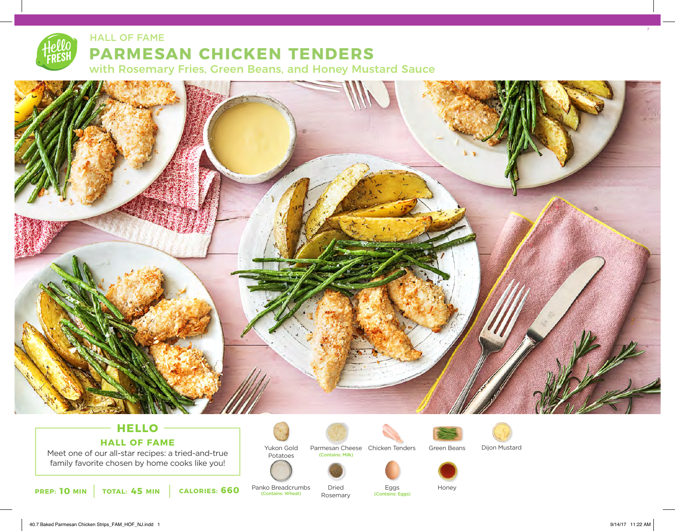## **PARMESAN CHICKEN TENDERS** HALL OF FAME

with Rosemary Fries, Green Beans, and Honey Mustard Sauce



## **HELLO HALL OF FAME**

Meet one of our all-star recipes: a tried-and-true family favorite chosen by home cooks like you!

**10 45 660 PREP: MIN TOTAL: MIN CALORIES:**



Potatoes

Panko Breadcrumbs<br>
(Contains: Wheat)



Rosemary

Parmesan Cheese Chicken Tenders (Contains: Milk)



Dijon Mustard



Eggs

(Contains: Eggs)

Dried Eggs Honey

7